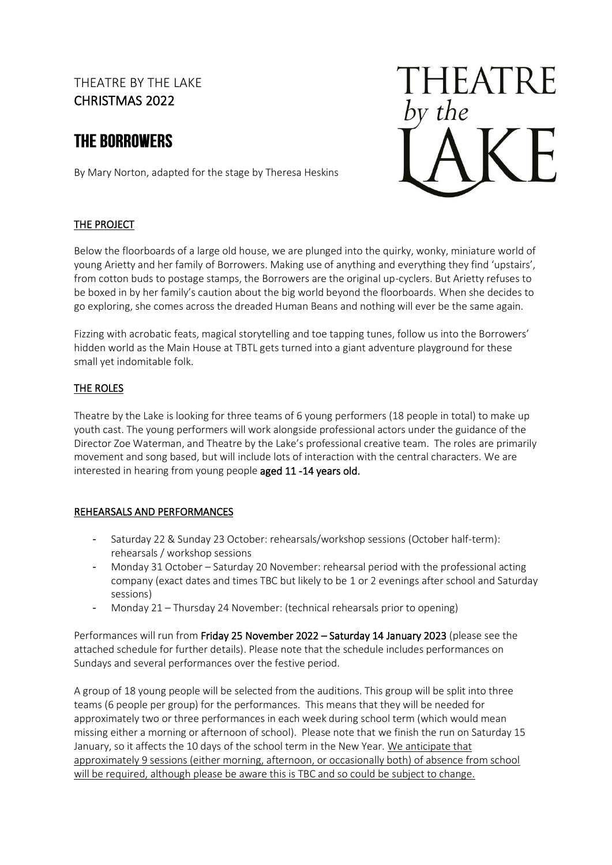### THEATRE BY THE LAKE CHRISTMAS 2022

## **THE BORROWERS**

By Mary Norton, adapted for the stage by Theresa Heskins



### THE PROJECT

Below the floorboards of a large old house, we are plunged into the quirky, wonky, miniature world of young Arietty and her family of Borrowers. Making use of anything and everything they find 'upstairs', from cotton buds to postage stamps, the Borrowers are the original up-cyclers. But Arietty refuses to be boxed in by her family's caution about the big world beyond the floorboards. When she decides to go exploring, she comes across the dreaded Human Beans and nothing will ever be the same again.

Fizzing with acrobatic feats, magical storytelling and toe tapping tunes, follow us into the Borrowers' hidden world as the Main House at TBTL gets turned into a giant adventure playground for these small yet indomitable folk.

#### THE ROLES

Theatre by the Lake is looking for three teams of 6 young performers (18 people in total) to make up youth cast. The young performers will work alongside professional actors under the guidance of the Director Zoe Waterman, and Theatre by the Lake's professional creative team. The roles are primarily movement and song based, but will include lots of interaction with the central characters. We are interested in hearing from young people aged 11 -14 years old.

#### REHEARSALS AND PERFORMANCES

- Saturday 22 & Sunday 23 October: rehearsals/workshop sessions (October half-term): rehearsals / workshop sessions
- Monday 31 October Saturday 20 November: rehearsal period with the professional acting company (exact dates and times TBC but likely to be 1 or 2 evenings after school and Saturday sessions)
- Monday 21 Thursday 24 November: (technical rehearsals prior to opening)

Performances will run from Friday 25 November 2022 – Saturday 14 January 2023 (please see the attached schedule for further details). Please note that the schedule includes performances on Sundays and several performances over the festive period.

A group of 18 young people will be selected from the auditions. This group will be split into three teams (6 people per group) for the performances. This means that they will be needed for approximately two or three performances in each week during school term (which would mean missing either a morning or afternoon of school). Please note that we finish the run on Saturday 15 January, so it affects the 10 days of the school term in the New Year. We anticipate that approximately 9 sessions (either morning, afternoon, or occasionally both) of absence from school will be required, although please be aware this is TBC and so could be subject to change.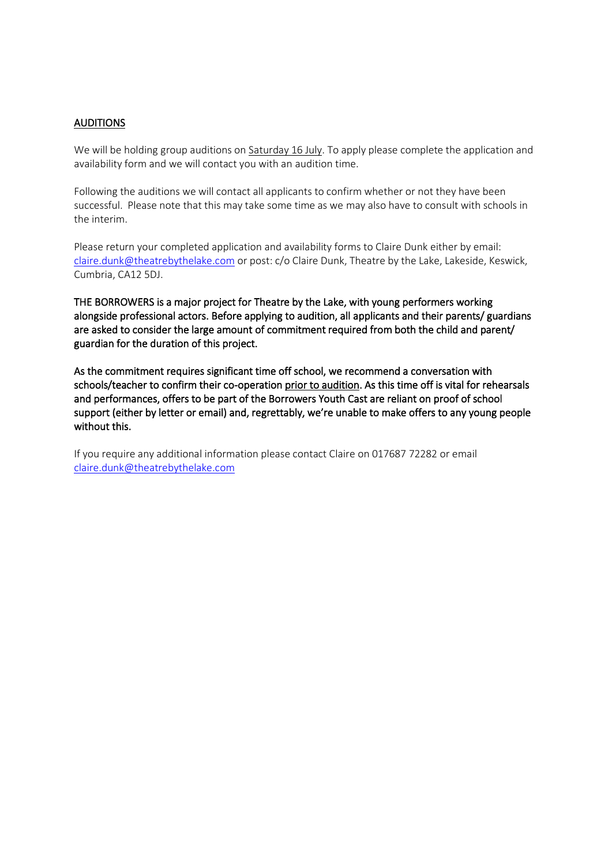#### AUDITIONS

We will be holding group auditions on Saturday 16 July. To apply please complete the application and availability form and we will contact you with an audition time.

Following the auditions we will contact all applicants to confirm whether or not they have been successful. Please note that this may take some time as we may also have to consult with schools in the interim.

Please return your completed application and availability forms to Claire Dunk either by email: [claire.dunk@theatrebythelake.com](mailto:claire.dunk@theatrebythelake.com) or post: c/o Claire Dunk, Theatre by the Lake, Lakeside, Keswick, Cumbria, CA12 5DJ.

THE BORROWERS is a major project for Theatre by the Lake, with young performers working alongside professional actors. Before applying to audition, all applicants and their parents/ guardians are asked to consider the large amount of commitment required from both the child and parent/ guardian for the duration of this project.

As the commitment requires significant time off school, we recommend a conversation with schools/teacher to confirm their co-operation prior to audition. As this time off is vital for rehearsals and performances, offers to be part of the Borrowers Youth Cast are reliant on proof of school support (either by letter or email) and, regrettably, we're unable to make offers to any young people without this.

If you require any additional information please contact Claire on 017687 72282 or email [claire.dunk@theatrebythelake.com](mailto:claire.dunk@theatrebythelake.com)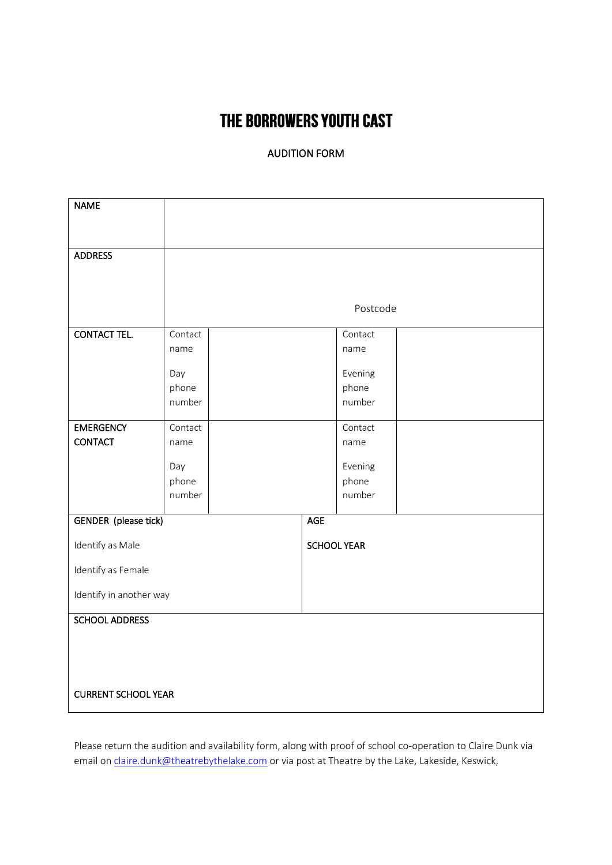# THE BORROWERS YOUTH CAST

### AUDITION FORM

| <b>NAME</b>                 |              |                    |     |                  |  |
|-----------------------------|--------------|--------------------|-----|------------------|--|
| <b>ADDRESS</b>              |              |                    |     |                  |  |
|                             |              |                    |     |                  |  |
|                             |              |                    |     |                  |  |
|                             | Postcode     |                    |     |                  |  |
| <b>CONTACT TEL.</b>         | Contact      |                    |     | Contact          |  |
|                             | name         |                    |     | name             |  |
|                             | Day          |                    |     | Evening          |  |
|                             | phone        |                    |     | phone            |  |
|                             | number       |                    |     | number           |  |
| <b>EMERGENCY</b>            | Contact      |                    |     | Contact          |  |
| <b>CONTACT</b>              | name         |                    |     | name             |  |
|                             |              |                    |     |                  |  |
|                             | Day<br>phone |                    |     | Evening<br>phone |  |
|                             | number       |                    |     | number           |  |
|                             |              |                    | AGE |                  |  |
| <b>GENDER</b> (please tick) |              |                    |     |                  |  |
| Identify as Male            |              | <b>SCHOOL YEAR</b> |     |                  |  |
| Identify as Female          |              |                    |     |                  |  |
| Identify in another way     |              |                    |     |                  |  |
| <b>SCHOOL ADDRESS</b>       |              |                    |     |                  |  |
|                             |              |                    |     |                  |  |
|                             |              |                    |     |                  |  |
|                             |              |                    |     |                  |  |
| <b>CURRENT SCHOOL YEAR</b>  |              |                    |     |                  |  |

Please return the audition and availability form, along with proof of school co-operation to Claire Dunk via email o[n claire.dunk@theatrebythelake.com](mailto:claire.dunk@theatrebythelake.com) or via post at Theatre by the Lake, Lakeside, Keswick,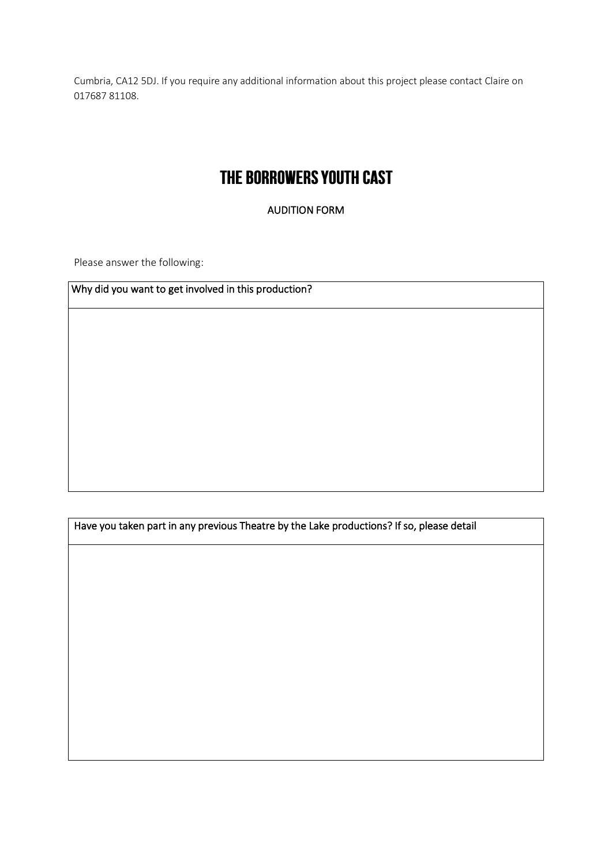Cumbria, CA12 5DJ. If you require any additional information about this project please contact Claire on 017687 81108.

# THE BORROWERS YOUTH CAST

AUDITION FORM

Please answer the following:

Why did you want to get involved in this production?

Have you taken part in any previous Theatre by the Lake productions? If so, please detail